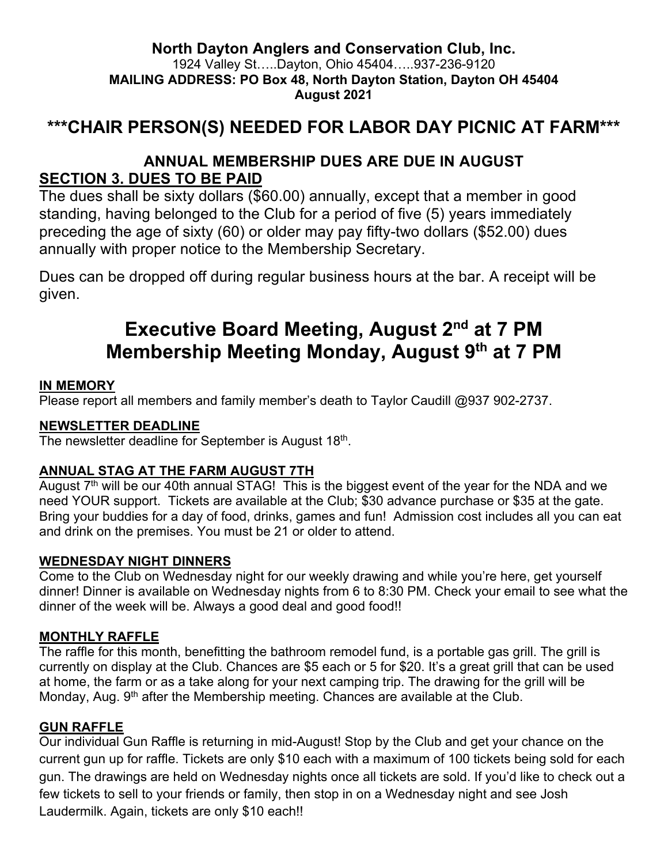#### **North Dayton Anglers and Conservation Club, Inc.** 1924 Valley St…..Dayton, Ohio 45404…..937-236-9120 **MAILING ADDRESS: PO Box 48, North Dayton Station, Dayton OH 45404 August 2021**

## **\*\*\*CHAIR PERSON(S) NEEDED FOR LABOR DAY PICNIC AT FARM\*\*\***

## **ANNUAL MEMBERSHIP DUES ARE DUE IN AUGUST SECTION 3. DUES TO BE PAID**

The dues shall be sixty dollars (\$60.00) annually, except that a member in good standing, having belonged to the Club for a period of five (5) years immediately preceding the age of sixty (60) or older may pay fifty-two dollars (\$52.00) dues annually with proper notice to the Membership Secretary.

Dues can be dropped off during regular business hours at the bar. A receipt will be given.

# **Executive Board Meeting, August 2nd at 7 PM Membership Meeting Monday, August 9th at 7 PM**

#### **IN MEMORY**

Please report all members and family member's death to Taylor Caudill @937 902-2737.

#### **NEWSLETTER DEADLINE**

The newsletter deadline for September is August 18<sup>th</sup>.

#### **ANNUAL STAG AT THE FARM AUGUST 7TH**

August  $7<sup>th</sup>$  will be our 40th annual STAG! This is the biggest event of the year for the NDA and we need YOUR support. Tickets are available at the Club; \$30 advance purchase or \$35 at the gate. Bring your buddies for a day of food, drinks, games and fun! Admission cost includes all you can eat and drink on the premises. You must be 21 or older to attend.

#### **WEDNESDAY NIGHT DINNERS**

Come to the Club on Wednesday night for our weekly drawing and while you're here, get yourself dinner! Dinner is available on Wednesday nights from 6 to 8:30 PM. Check your email to see what the dinner of the week will be. Always a good deal and good food!!

#### **MONTHLY RAFFLE**

The raffle for this month, benefitting the bathroom remodel fund, is a portable gas grill. The grill is currently on display at the Club. Chances are \$5 each or 5 for \$20. It's a great grill that can be used at home, the farm or as a take along for your next camping trip. The drawing for the grill will be Monday, Aug.  $9<sup>th</sup>$  after the Membership meeting. Chances are available at the Club.

#### **GUN RAFFLE**

Our individual Gun Raffle is returning in mid-August! Stop by the Club and get your chance on the current gun up for raffle. Tickets are only \$10 each with a maximum of 100 tickets being sold for each gun. The drawings are held on Wednesday nights once all tickets are sold. If you'd like to check out a few tickets to sell to your friends or family, then stop in on a Wednesday night and see Josh Laudermilk. Again, tickets are only \$10 each!!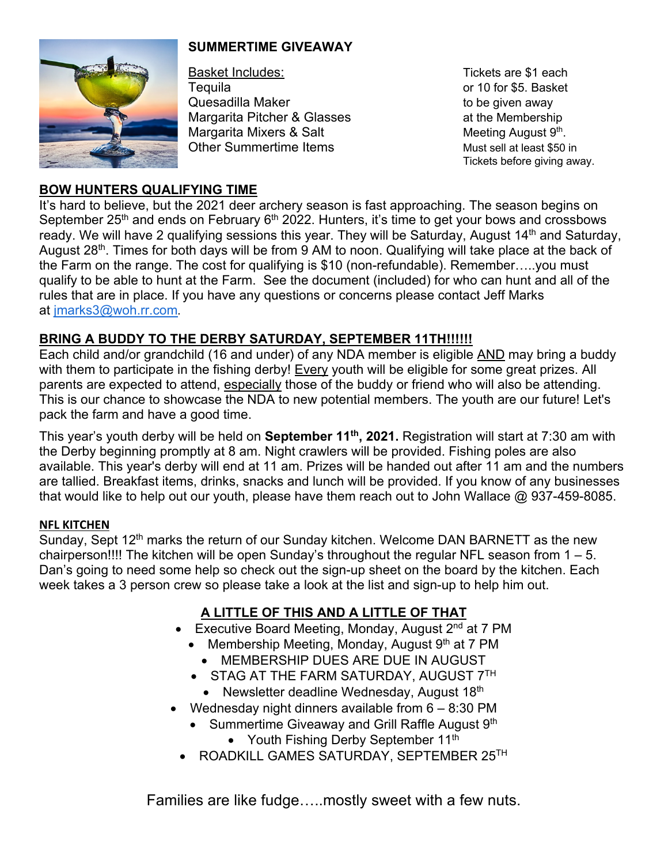### **SUMMERTIME GIVEAWAY**



Basket Includes: Tickets are \$1 each Tequila or 10 for \$5. Basket Quesadilla Maker to be given away Margarita Pitcher & Glasses at the Membership Margarita Mixers & Salt  $\blacksquare$  Meeting August  $9<sup>th</sup>$ . Other Summertime Items Must sell at least \$50 in

Tickets before giving away.

#### **BOW HUNTERS QUALIFYING TIME**

It's hard to believe, but the 2021 deer archery season is fast approaching. The season begins on September  $25<sup>th</sup>$  and ends on February  $6<sup>th</sup>$  2022. Hunters, it's time to get your bows and crossbows ready. We will have 2 qualifying sessions this year. They will be Saturday, August 14<sup>th</sup> and Saturday, August 28<sup>th</sup>. Times for both days will be from 9 AM to noon. Qualifying will take place at the back of the Farm on the range. The cost for qualifying is \$10 (non-refundable). Remember…..you must qualify to be able to hunt at the Farm. See the document (included) for who can hunt and all of the rules that are in place. If you have any questions or concerns please contact Jeff Marks at jmarks3@woh.rr.com.

#### **BRING A BUDDY TO THE DERBY SATURDAY, SEPTEMBER 11TH!!!!!!**

Each child and/or grandchild (16 and under) of any NDA member is eligible AND may bring a buddy with them to participate in the fishing derby! Every youth will be eligible for some great prizes. All parents are expected to attend, especially those of the buddy or friend who will also be attending. This is our chance to showcase the NDA to new potential members. The youth are our future! Let's pack the farm and have a good time.

This year's youth derby will be held on **September 11th, 2021.** Registration will start at 7:30 am with the Derby beginning promptly at 8 am. Night crawlers will be provided. Fishing poles are also available. This year's derby will end at 11 am. Prizes will be handed out after 11 am and the numbers are tallied. Breakfast items, drinks, snacks and lunch will be provided. If you know of any businesses that would like to help out our youth, please have them reach out to John Wallace @ 937-459-8085.

#### **NFL KITCHEN**

Sunday, Sept 12<sup>th</sup> marks the return of our Sunday kitchen. Welcome DAN BARNETT as the new chairperson!!!! The kitchen will be open Sunday's throughout the regular NFL season from 1 – 5. Dan's going to need some help so check out the sign-up sheet on the board by the kitchen. Each week takes a 3 person crew so please take a look at the list and sign-up to help him out.

## **A LITTLE OF THIS AND A LITTLE OF THAT**

- Executive Board Meeting, Monday, August  $2^{nd}$  at 7 PM
	- Membership Meeting, Monday, August  $9<sup>th</sup>$  at 7 PM
		- MEMBERSHIP DUES ARE DUE IN AUGUST
	- STAG AT THE FARM SATURDAY, AUGUST 7TH
		- Newsletter deadline Wednesday, August 18th
- Wednesday night dinners available from  $6 8:30$  PM
	- Summertime Giveaway and Grill Raffle August 9<sup>th</sup>
		- Youth Fishing Derby September 11<sup>th</sup>
	- ROADKILL GAMES SATURDAY, SEPTEMBER 25TH

Families are like fudge…..mostly sweet with a few nuts.